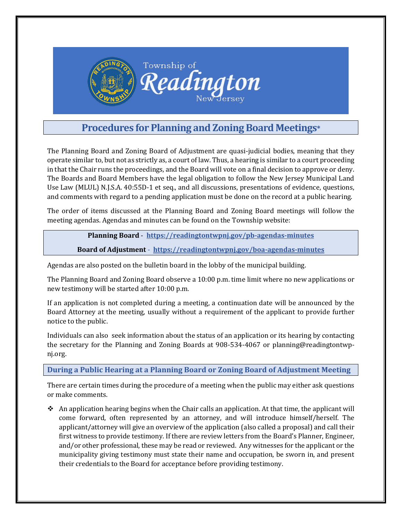

# **Procedures for Planning and Zoning Board Meetings\***

The Planning Board and Zoning Board of Adjustment are quasi-judicial bodies, meaning that they operate similar to, but not as strictly as, a court of law. Thus, a hearing is similar to a court proceeding in that the Chair runs the proceedings, and the Board will vote on a final decision to approve or deny. The Boards and Board Members have the legal obligation to follow the New Jersey Municipal Land Use Law (MLUL) N.J.S.A. 40:55D-1 et seq., and all discussions, presentations of evidence, questions, and comments with regard to a pending application must be done on the record at a public hearing.

The order of items discussed at the Planning Board and Zoning Board meetings will follow the meeting agendas. Agendas and minutes can be found on the Township website:

#### **Planning Board** - **<https://readingtontwpnj.gov/pb-agendas-minutes>**

#### **Board of Adjustment** - **<https://readingtontwpnj.gov/boa-agendas-minutes>**

Agendas are also posted on the bulletin board in the lobby of the municipal building.

The Planning Board and Zoning Board observe a 10:00 p.m. time limit where no new applications or new testimony will be started after 10:00 p.m.

If an application is not completed during a meeting, a continuation date will be announced by the Board Attorney at the meeting, usually without a requirement of the applicant to provide further notice to the public.

Individuals can also seek information about the status of an application or its hearing by contacting the secretary for the Planning and Zoning Boards at 908-534-4067 or planning@readingtontwpnj.org.

### **During a Public Hearing at a Planning Board or Zoning Board of Adjustment Meeting**

There are certain times during the procedure of a meeting when the public may either ask questions or make comments.

 $\triangle$  An application hearing begins when the Chair calls an application. At that time, the applicant will come forward, often represented by an attorney, and will introduce himself/herself. The applicant/attorney will give an overview of the application (also called a proposal) and call their first witness to provide testimony. If there are review letters from the Board's Planner, Engineer, and/or other professional, these may be read or reviewed. Any witnesses for the applicant or the municipality giving testimony must state their name and occupation, be sworn in, and present their credentials to the Board for acceptance before providing testimony.